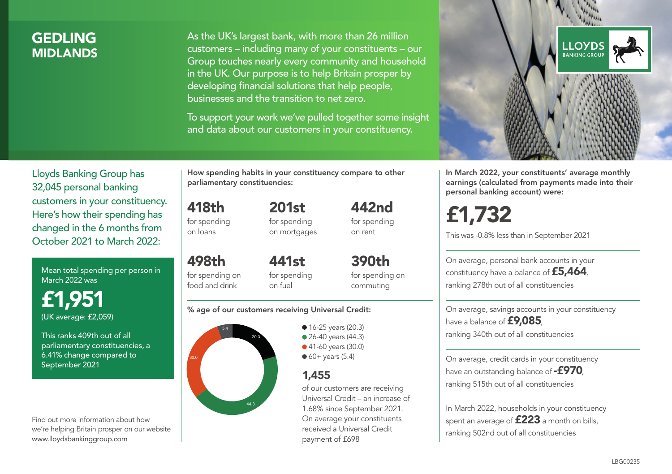## **GEDLING MIDI ANDS**

As the UK's largest bank, with more than 26 million customers – including many of your constituents – our Group touches nearly every community and household in the UK. Our purpose is to help Britain prosper by developing financial solutions that help people, businesses and the transition to net zero.

To support your work we've pulled together some insight and data about our customers in your constituency.



Mean total spending per person in March 2022 was

£1,951 (UK average: £2,059)

This ranks 409th out of all parliamentary constituencies, a 6.41% change compared to September 2021

Find out more information about how we're helping Britain prosper on our website www.lloydsbankinggroup.com

How spending habits in your constituency compare to other parliamentary constituencies:

418th for spending 201st

on loans

498th

for spending on mortgages 442nd for spending on rent

for spending on food and drink 441st for spending on fuel

390th for spending on commuting

#### % age of our customers receiving Universal Credit:



• 16-25 years (20.3) • 26-40 years (44.3) ● 41-60 years (30.0)

 $60+$  years (5.4)

### 1,455

of our customers are receiving Universal Credit – an increase of 1.68% since September 2021. On average your constituents received a Universal Credit payment of £698



In March 2022, your constituents' average monthly earnings (calculated from payments made into their personal banking account) were:

£1,732

This was -0.8% less than in September 2021

On average, personal bank accounts in your constituency have a balance of £5,464, ranking 278th out of all constituencies

On average, savings accounts in your constituency have a balance of £9,085, ranking 340th out of all constituencies

On average, credit cards in your constituency have an outstanding balance of  $-$ £970, ranking 515th out of all constituencies

In March 2022, households in your constituency spent an average of **£223** a month on bills, ranking 502nd out of all constituencies